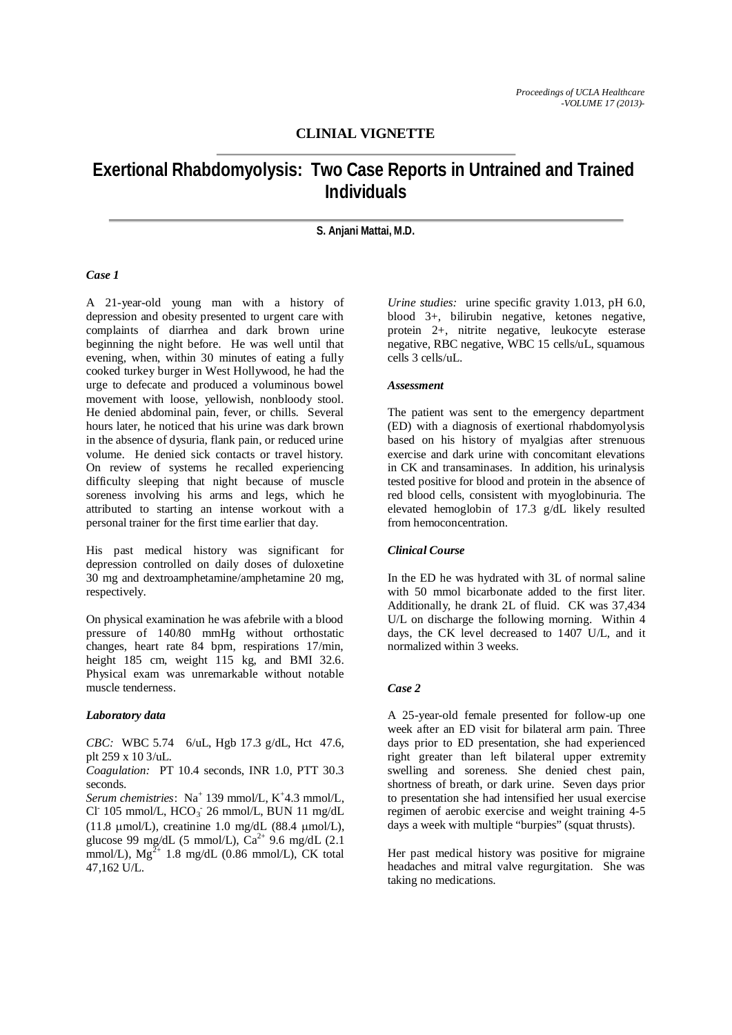# **CLINIAL VIGNETTE**

# **Exertional Rhabdomyolysis: Two Case Reports in Untrained and Trained Individuals**

#### **S. Anjani Mattai, M.D.**

#### *Case 1*

A 21-year-old young man with a history of depression and obesity presented to urgent care with complaints of diarrhea and dark brown urine beginning the night before. He was well until that evening, when, within 30 minutes of eating a fully cooked turkey burger in West Hollywood, he had the urge to defecate and produced a voluminous bowel movement with loose, yellowish, nonbloody stool. He denied abdominal pain, fever, or chills. Several hours later, he noticed that his urine was dark brown in the absence of dysuria, flank pain, or reduced urine volume. He denied sick contacts or travel history. On review of systems he recalled experiencing difficulty sleeping that night because of muscle soreness involving his arms and legs, which he attributed to starting an intense workout with a personal trainer for the first time earlier that day.

His past medical history was significant for depression controlled on daily doses of duloxetine 30 mg and dextroamphetamine/amphetamine 20 mg, respectively.

On physical examination he was afebrile with a blood pressure of 140/80 mmHg without orthostatic changes, heart rate 84 bpm, respirations 17/min, height 185 cm, weight 115 kg, and BMI 32.6. Physical exam was unremarkable without notable muscle tenderness.

#### *Laboratory data*

*CBC:* WBC 5.74 6/uL, Hgb 17.3 g/dL, Hct 47.6, plt 259 x 10 3/uL.

*Coagulation:* PT 10.4 seconds, INR 1.0, PTT 30.3 seconds.

Serum chemistries: Na<sup>+</sup> 139 mmol/L, K<sup>+</sup>4.3 mmol/L, Cl<sup>-</sup> 105 mmol/L, HCO<sub>3</sub><sup>-</sup> 26 mmol/L, BUN 11 mg/dL (11.8  $\mu$ mol/L), creatinine 1.0 mg/dL (88.4  $\mu$ mol/L), glucose 99 mg/dL (5 mmol/L),  $Ca^{2+}$  9.6 mg/dL (2.1) mmol/L),  $Mg^{2+}$  1.8 mg/dL (0.86 mmol/L), CK total 47,162 U/L.

*Urine studies:* urine specific gravity 1.013, pH 6.0, blood 3+, bilirubin negative, ketones negative, protein 2+, nitrite negative, leukocyte esterase negative, RBC negative, WBC 15 cells/uL, squamous cells 3 cells/uL.

#### *Assessment*

The patient was sent to the emergency department (ED) with a diagnosis of exertional rhabdomyolysis based on his history of myalgias after strenuous exercise and dark urine with concomitant elevations in CK and transaminases. In addition, his urinalysis tested positive for blood and protein in the absence of red blood cells, consistent with myoglobinuria. The elevated hemoglobin of 17.3 g/dL likely resulted from hemoconcentration.

#### *Clinical Course*

In the ED he was hydrated with 3L of normal saline with 50 mmol bicarbonate added to the first liter. Additionally, he drank 2L of fluid. CK was 37,434 U/L on discharge the following morning. Within 4 days, the CK level decreased to 1407 U/L, and it normalized within 3 weeks.

#### *Case 2*

A 25-year-old female presented for follow-up one week after an ED visit for bilateral arm pain. Three days prior to ED presentation, she had experienced right greater than left bilateral upper extremity swelling and soreness. She denied chest pain, shortness of breath, or dark urine. Seven days prior to presentation she had intensified her usual exercise regimen of aerobic exercise and weight training 4-5 days a week with multiple "burpies" (squat thrusts).

Her past medical history was positive for migraine headaches and mitral valve regurgitation. She was taking no medications.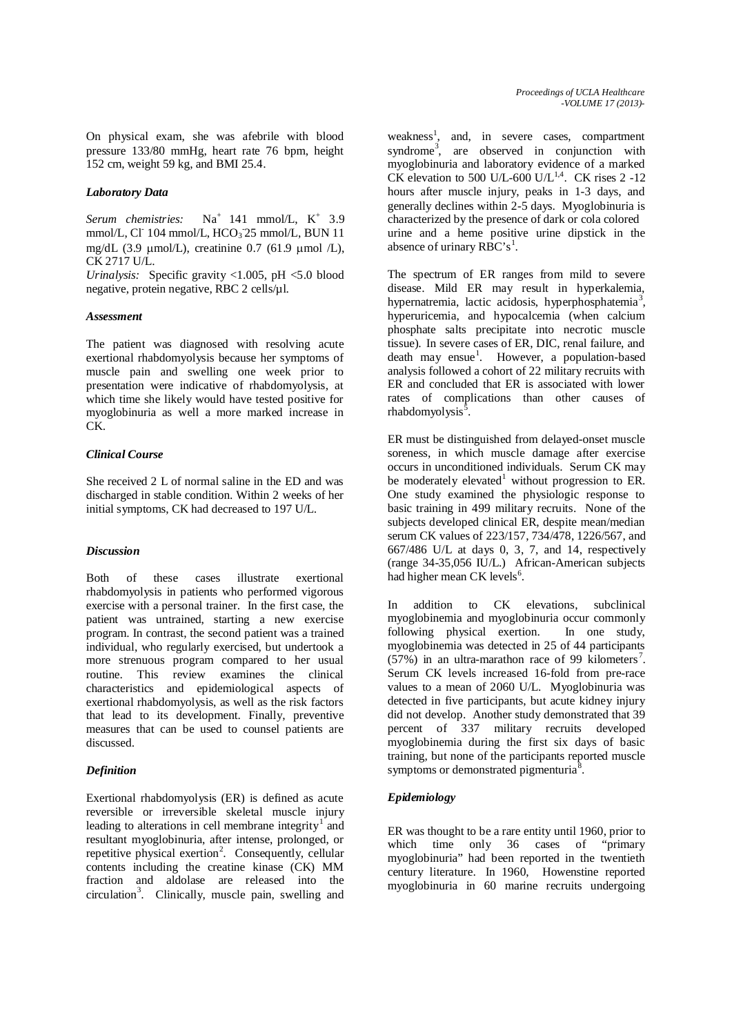On physical exam, she was afebrile with blood pressure 133/80 mmHg, heart rate 76 bpm, height 152 cm, weight 59 kg, and BMI 25.4.

#### *Laboratory Data*

Serum chemistries: Na<sup>+</sup> 141 mmol/L, K<sup>+</sup> 3.9 mmol/L, Cl<sup>-</sup> 104 mmol/L, HCO<sub>3</sub><sup>-25</sup> mmol/L, BUN 11 mg/dL (3.9  $\mu$ mol/L), creatinine 0.7 (61.9  $\mu$ mol /L), CK 2717 U/L.

*Urinalysis:* Specific gravity <1.005, pH <5.0 blood negative, protein negative, RBC 2 cells/µl.

#### *Assessment*

The patient was diagnosed with resolving acute exertional rhabdomyolysis because her symptoms of muscle pain and swelling one week prior to presentation were indicative of rhabdomyolysis, at which time she likely would have tested positive for myoglobinuria as well a more marked increase in C<sub>K</sub>

### *Clinical Course*

She received 2 L of normal saline in the ED and was discharged in stable condition. Within 2 weeks of her initial symptoms, CK had decreased to 197 U/L.

# *Discussion*

Both of these cases illustrate exertional rhabdomyolysis in patients who performed vigorous exercise with a personal trainer. In the first case, the patient was untrained, starting a new exercise program. In contrast, the second patient was a trained individual, who regularly exercised, but undertook a more strenuous program compared to her usual routine. This review examines the clinical characteristics and epidemiological aspects of exertional rhabdomyolysis, as well as the risk factors that lead to its development. Finally, preventive measures that can be used to counsel patients are discussed.

# *Definition*

Exertional rhabdomyolysis (ER) is defined as acute reversible or irreversible skeletal muscle injury leading to alterations in cell membrane integrity<sup>1</sup> and resultant myoglobinuria, after intense, prolonged, or repetitive physical exertion<sup>2</sup>. Consequently, cellular contents including the creatine kinase (CK) MM fraction and aldolase are released into the circulation<sup>3</sup>. Clinically, muscle pain, swelling and

weakness<sup>1</sup>, and, in severe cases, compartment syndrome<sup>3</sup>, are observed in conjunction with myoglobinuria and laboratory evidence of a marked CK elevation to 500 U/L-600 U/L<sup>1,4</sup>. CK rises  $2 -12$ hours after muscle injury, peaks in 1-3 days, and generally declines within  $2-5$  days. Myoglobinuria is characterized by the presence of dark or cola colored urine and a heme positive urine dipstick in the absence of urinary  $R\overline{BC}$ 's<sup>1</sup>.

The spectrum of ER ranges from mild to severe disease. Mild ER may result in hyperkalemia, hypernatremia, lactic acidosis, hyperphosphatemia<sup>3</sup>, hyperuricemia, and hypocalcemia (when calcium phosphate salts precipitate into necrotic muscle tissue). In severe cases of ER, DIC, renal failure, and death may ensue<sup>1</sup>. However, a population-based analysis followed a cohort of 22 military recruits with ER and concluded that ER is associated with lower rates of complications than other causes of rhabdomyolysis<sup>5</sup>.

ER must be distinguished from delayed-onset muscle soreness, in which muscle damage after exercise occurs in unconditioned individuals. Serum CK may be moderately elevated<sup>1</sup> without progression to ER. One study examined the physiologic response to basic training in 499 military recruits. None of the subjects developed clinical ER, despite mean/median serum CK values of 223/157, 734/478, 1226/567, and 667/486 U/L at days 0, 3, 7, and 14, respectively (range 34-35,056 IU/L.) African-American subjects had higher mean CK levels<sup>6</sup>.

In addition to CK elevations, subclinical myoglobinemia and myoglobinuria occur commonly following physical exertion. In one study, myoglobinemia was detected in 25 of 44 participants  $(57%)$  in an ultra-marathon race of 99 kilometers<sup>7</sup>. Serum CK levels increased 16-fold from pre-race values to a mean of 2060 U/L. Myoglobinuria was detected in five participants, but acute kidney injury did not develop. Another study demonstrated that 39 percent of 337 military recruits developed myoglobinemia during the first six days of basic training, but none of the participants reported muscle symptoms or demonstrated pigmenturia<sup>8</sup>.

# *Epidemiology*

ER was thought to be a rare entity until 1960, prior to which time only 36 cases of "primary" myoglobinuria" had been reported in the twentieth century literature. In 1960, Howenstine reported myoglobinuria in 60 marine recruits undergoing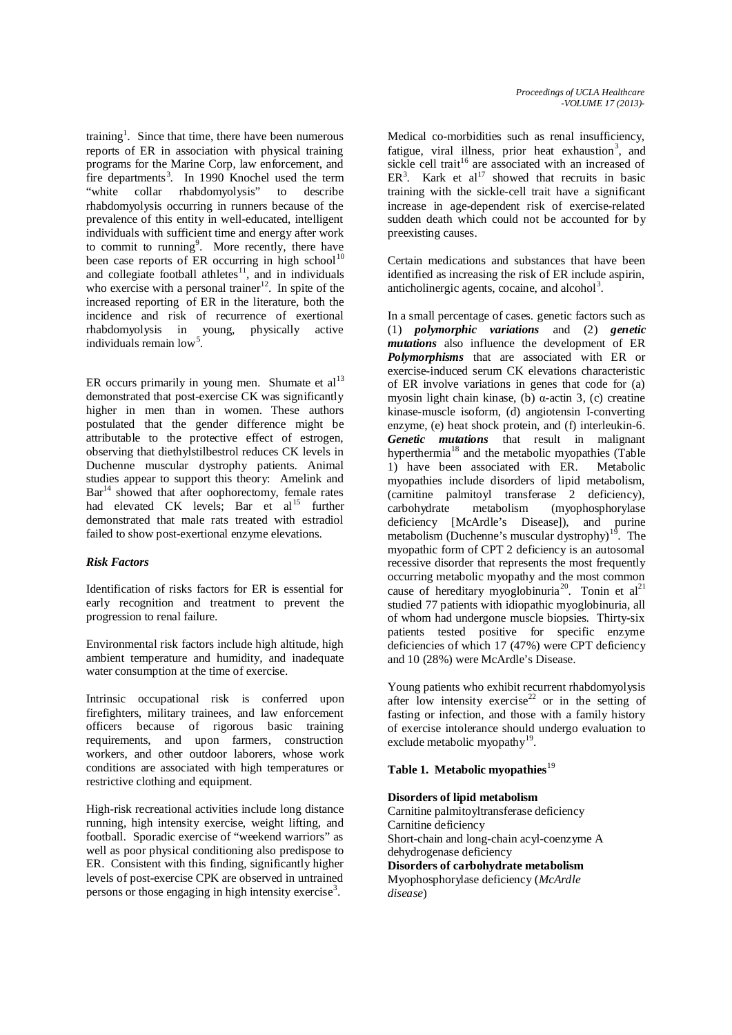training<sup>1</sup>. Since that time, there have been numerous reports of ER in association with physical training programs for the Marine Corp, law enforcement, and fire departments<sup>3</sup>. In 1990 Knochel used the term "white collar rhabdomyolysis" to describe rhabdomyolysis occurring in runners because of the prevalence of this entity in well-educated, intelligent individuals with sufficient time and energy after work to commit to running<sup>9</sup>. More recently, there have been case reports of ER occurring in high school<sup>10</sup> and collegiate football athletes $11$ , and in individuals who exercise with a personal trainer<sup>12</sup>. In spite of the increased reporting of ER in the literature, both the incidence and risk of recurrence of exertional rhabdomyolysis in young, physically active individuals remain low .

ER occurs primarily in young men. Shumate et  $al<sup>13</sup>$ demonstrated that post-exercise CK was significantly higher in men than in women. These authors postulated that the gender difference might be attributable to the protective effect of estrogen, observing that diethylstilbestrol reduces CK levels in Duchenne muscular dystrophy patients. Animal studies appear to support this theory: Amelink and  $Bar<sup>14</sup>$  showed that after oophorectomy, female rates had elevated CK levels; Bar et al<sup>15</sup> further demonstrated that male rats treated with estradiol failed to show post-exertional enzyme elevations.

# *Risk Factors*

Identification of risks factors for ER is essential for early recognition and treatment to prevent the progression to renal failure.

Environmental risk factors include high altitude, high ambient temperature and humidity, and inadequate water consumption at the time of exercise.

Intrinsic occupational risk is conferred upon firefighters, military trainees, and law enforcement officers because of rigorous basic training requirements, and upon farmers, construction workers, and other outdoor laborers, whose work conditions are associated with high temperatures or restrictive clothing and equipment.

High-risk recreational activities include long distance running, high intensity exercise, weight lifting, and football. Sporadic exercise of "weekend warriors" as well as poor physical conditioning also predispose to ER. Consistent with this finding, significantly higher levels of post-exercise CPK are observed in untrained persons or those engaging in high intensity exercise<sup>3</sup>.

Medical co-morbidities such as renal insufficiency, fatigue, viral illness, prior heat exhaustion<sup>3</sup>, and sickle cell trait<sup>16</sup> are associated with an increased of  $ER<sup>3</sup>$ . Kark et al<sup>17</sup> showed that recruits in basic training with the sickle-cell trait have a significant increase in age-dependent risk of exercise-related sudden death which could not be accounted for by preexisting causes.

Certain medications and substances that have been identified as increasing the risk of ER include aspirin, anticholinergic agents, cocaine, and alcohol $3$ .

In a small percentage of cases. genetic factors such as (1) *polymorphic variations* and (2) *genetic mutations* also influence the development of ER *Polymorphisms* that are associated with ER or exercise-induced serum CK elevations characteristic of ER involve variations in genes that code for (a) myosin light chain kinase, (b) α-actin 3, (c) creatine kinase-muscle isoform, (d) angiotensin I-converting enzyme, (e) heat shock protein, and (f) interleukin-6. *Genetic mutations* that result in malignant hyperthermia<sup>18</sup> and the metabolic myopathies (Table 1) have been associated with ER. Metabolic myopathies include disorders of lipid metabolism, (carnitine palmitoyl transferase 2 deficiency), carbohydrate metabolism (myophosphorylase deficiency [McArdle's Disease]), and purine metabolism (Duchenne's muscular dystrophy) $1<sup>9</sup>$ . The myopathic form of CPT 2 deficiency is an autosomal recessive disorder that represents the most frequently occurring metabolic myopathy and the most common cause of hereditary myoglobinuria<sup>20</sup>. Tonin et al<sup>21</sup> studied 77 patients with idiopathic myoglobinuria, all of whom had undergone muscle biopsies. Thirty-six patients tested positive for specific enzyme deficiencies of which 17 (47%) were CPT deficiency and 10 (28%) were McArdle's Disease.

Young patients who exhibit recurrent rhabdomyolysis after low intensity exercise<sup>22</sup> or in the setting of fasting or infection, and those with a family history of exercise intolerance should undergo evaluation to exclude metabolic myopathy<sup>19</sup>.

# **Table 1. Metabolic myopathies**<sup>19</sup>

# **Disorders of lipid metabolism**

Carnitine palmitoyltransferase deficiency Carnitine deficiency Short-chain and long-chain acyl-coenzyme A dehydrogenase deficiency **Disorders of carbohydrate metabolism** Myophosphorylase deficiency (*McArdle disease*)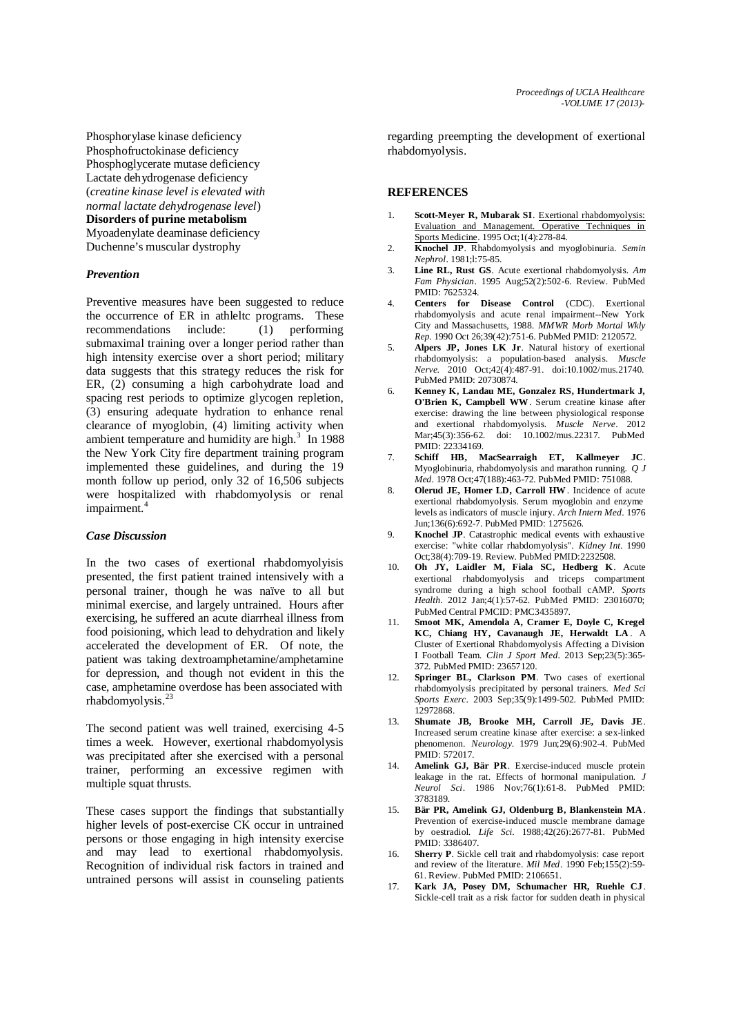Phosphorylase kinase deficiency Phosphofructokinase deficiency Phosphoglycerate mutase deficiency Lactate dehydrogenase deficiency (*creatine kinase level is elevated with normal lactate dehydrogenase level*) **Disorders of purine metabolism** Myoadenylate deaminase deficiency Duchenne's muscular dystrophy

#### *Prevention*

Preventive measures have been suggested to reduce the occurrence of ER in athleltc programs. These recommendations include: (1) performing submaximal training over a longer period rather than high intensity exercise over a short period; military data suggests that this strategy reduces the risk for ER, (2) consuming a high carbohydrate load and spacing rest periods to optimize glycogen repletion, (3) ensuring adequate hydration to enhance renal clearance of myoglobin, (4) limiting activity when ambient temperature and humidity are high. $3$  In 1988 the New York City fire department training program implemented these guidelines, and during the 19 month follow up period, only 32 of 16,506 subjects were hospitalized with rhabdomyolysis or renal impairment.<sup>4</sup>

#### *Case Discussion*

In the two cases of exertional rhabdomyolyisis presented, the first patient trained intensively with a personal trainer, though he was naïve to all but minimal exercise, and largely untrained. Hours after exercising, he suffered an acute diarrheal illness from food poisioning, which lead to dehydration and likely accelerated the development of ER. Of note, the patient was taking dextroamphetamine/amphetamine for depression, and though not evident in this the case, amphetamine overdose has been associated with rhabdomyolysis.<sup>23</sup>

The second patient was well trained, exercising 4-5 times a week. However, exertional rhabdomyolysis was precipitated after she exercised with a personal trainer, performing an excessive regimen with multiple squat thrusts.

These cases support the findings that substantially higher levels of post-exercise CK occur in untrained persons or those engaging in high intensity exercise and may lead to exertional rhabdomyolysis. Recognition of individual risk factors in trained and untrained persons will assist in counseling patients

regarding preempting the development of exertional rhabdomyolysis.

# **REFERENCES**

- 1. **Scott-Meyer R, Mubarak SI**. Exertional rhabdomyolysis: Evaluation and Management. Operative Techniques in Sports Medicine. 1995 Oct;1(4):278-84.
- 2. **Knochel JP**. Rhabdomyolysis and myoglobinuria. *Semin Nephrol*. 1981;l:75-85.
- 3. **Line RL, Rust GS**. Acute exertional rhabdomyolysis. *Am Fam Physician*. 1995 Aug;52(2):502-6. Review. PubMed PMID: 7625324.
- 4. **Centers for Disease Control** (CDC). Exertional rhabdomyolysis and acute renal impairment--New York City and Massachusetts, 1988. *MMWR Morb Mortal Wkly Rep*. 1990 Oct 26;39(42):751-6. PubMed PMID: 2120572.
- 5. **Alpers JP, Jones LK Jr**. Natural history of exertional rhabdomyolysis: a population-based analysis. *Muscle Nerve*. 2010 Oct;42(4):487-91. doi:10.1002/mus.21740. PubMed PMID: 20730874.
- 6. **Kenney K, Landau ME, Gonzalez RS, Hundertmark J, O'Brien K, Campbell WW**. Serum creatine kinase after exercise: drawing the line between physiological response and exertional rhabdomyolysis. *Muscle Nerve*. 2012 Mar;45(3):356-62. doi: 10.1002/mus.22317. PubMed PMID: 22334169.
- 7. **Schiff HB, MacSearraigh ET, Kallmeyer JC**. Myoglobinuria, rhabdomyolysis and marathon running. *Q J Med*. 1978 Oct;47(188):463-72. PubMed PMID: 751088.
- 8. **Olerud JE, Homer LD, Carroll HW**. Incidence of acute exertional rhabdomyolysis. Serum myoglobin and enzyme levels as indicators of muscle injury. *Arch Intern Med*. 1976 Jun;136(6):692-7. PubMed PMID: 1275626.
- 9. **Knochel JP**. Catastrophic medical events with exhaustive exercise: "white collar rhabdomyolysis". *Kidney Int*. 1990 Oct;38(4):709-19. Review. PubMed PMID:2232508.
- 10. **Oh JY, Laidler M, Fiala SC, Hedberg K**. Acute exertional rhabdomyolysis and triceps compartment syndrome during a high school football cAMP. *Sports Health*. 2012 Jan;4(1):57-62. PubMed PMID: 23016070; PubMed Central PMCID: PMC3435897.
- 11. **Smoot MK, Amendola A, Cramer E, Doyle C, Kregel KC, Chiang HY, Cavanaugh JE, Herwaldt LA** . A Cluster of Exertional Rhabdomyolysis Affecting a Division I Football Team. *Clin J Sport Med*. 2013 Sep;23(5):365- 372. PubMed PMID: 23657120.
- 12. **Springer BL, Clarkson PM**. Two cases of exertional rhabdomyolysis precipitated by personal trainers. *Med Sci Sports Exerc*. 2003 Sep;35(9):1499-502. PubMed PMID: 12972868.
- 13. **Shumate JB, Brooke MH, Carroll JE, Davis JE**. Increased serum creatine kinase after exercise: a sex-linked phenomenon. *Neurology*. 1979 Jun;29(6):902-4. PubMed PMID: 572017.
- 14. **Amelink GJ, Bär PR**. Exercise-induced muscle protein leakage in the rat. Effects of hormonal manipulation. *J Neurol Sci*. 1986 Nov;76(1):61-8. PubMed PMID: 3783189.
- 15. **Bär PR, Amelink GJ, Oldenburg B, Blankenstein MA**. Prevention of exercise-induced muscle membrane damage by oestradiol. *Life Sci*. 1988;42(26):2677-81. PubMed PMID: 3386407.
- 16. **Sherry P**. Sickle cell trait and rhabdomyolysis: case report and review of the literature. *Mil Med*. 1990 Feb;155(2):59- 61. Review. PubMed PMID: 2106651.
- 17. **Kark JA, Posey DM, Schumacher HR, Ruehle CJ**. Sickle-cell trait as a risk factor for sudden death in physical